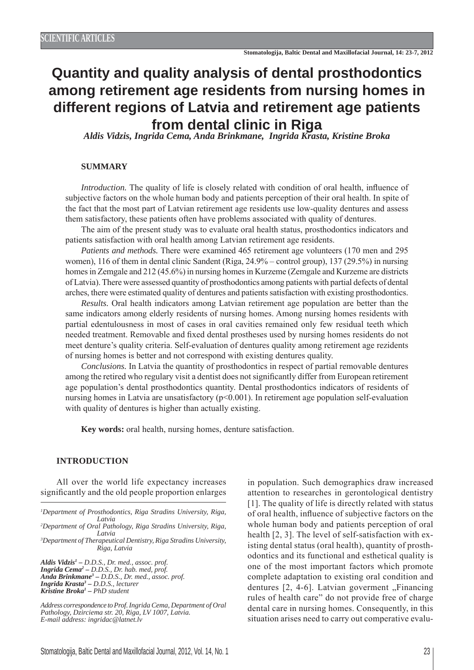# **Quantity and quality analysis of dental prosthodontics among retirement age residents from nursing homes in different regions of Latvia and retirement age patients from dental clinic in Riga** *Aldis Vidzis, Ingrida Cema, Anda Brinkmane, Ingrida Krasta, Kristine Broka*

### **SUMMARY**

*Introduction.* The quality of life is closely related with condition of oral health, influence of subjective factors on the whole human body and patients perception of their oral health. In spite of the fact that the most part of Latvian retirement age residents use low-quality dentures and assess them satisfactory, these patients often have problems associated with quality of dentures.

The aim of the present study was to evaluate oral health status, prosthodontics indicators and patients satisfaction with oral health among Latvian retirement age residents.

*Patients and methods.* There were examined 465 retirement age volunteers (170 men and 295 women), 116 of them in dental clinic Sandent (Riga, 24.9% – control group), 137 (29.5%) in nursing homes in Zemgale and 212 (45.6%) in nursing homes in Kurzeme (Zemgale and Kurzeme are districts of Latvia). There were assessed quantity of prosthodontics among patients with partial defects of dental arches, there were estimated quality of dentures and patients satisfaction with existing prosthodontics.

*Results.* Oral health indicators among Latvian retirement age population are better than the same indicators among elderly residents of nursing homes. Among nursing homes residents with partial edentulousness in most of cases in oral cavities remained only few residual teeth which needed treatment. Removable and fixed dental prostheses used by nursing homes residents do not meet denture's quality criteria. Self-evaluation of dentures quality among retirement age rezidents of nursing homes is better and not correspond with existing dentures quality.

*Conclusions.* In Latvia the quantity of prosthodontics in respect of partial removable dentures among the retired who regulary visit a dentist does not significantly differ from European retirement age population's dental prosthodontics quantity. Dental prosthodontics indicators of residents of nursing homes in Latvia are unsatisfactory (p<0.001). In retirement age population self-evaluation with quality of dentures is higher than actually existing.

**Key words:** oral health, nursing homes, denture satisfaction.

#### **INTRODUCTION**

All over the world life expectancy increases significantly and the old people proportion enlarges

*2 Department of Oral Pathology, Riga Stradins University, Riga, Latvia*

*3 Department of Therapeutical Dentistry, Riga Stradins University, Riga, Latvia*

*Aldis Vidzis1 – D.D.S., Dr. med., assoc. prof. Ingrida Cema2 – D.D.S., Dr. hab. med, prof. Anda Brinkmane3 – D.D.S., Dr. med., assoc. prof. Ingrida Krasta3 – D.D.S., lecturer Kristine Broka1 – PhD student*

*Address correspondence to Prof. Ingrida Cema, Department of Oral Pathology, Dzirciema str. 20, Riga, LV 1007, Latvia. E-mail address: ingridac@latnet.lv*

in population. Such demographics draw increased attention to researches in gerontological dentistry [1]. The quality of life is directly related with status of oral health, influence of subjective factors on the whole human body and patients perception of oral health [2, 3]. The level of self-satisfaction with existing dental status (oral health), quantity of prosthodontics and its functional and esthetical quality is one of the most important factors which promote complete adaptation to existing oral condition and dentures  $[2, 4-6]$ . Latvian goverment "Financing rules of health care" do not provide free of charge dental care in nursing homes. Consequently, in this situation arises need to carry out comperative evalu-

*<sup>1</sup> Department of Prosthodontics, Riga Stradins University, Riga, Latvia*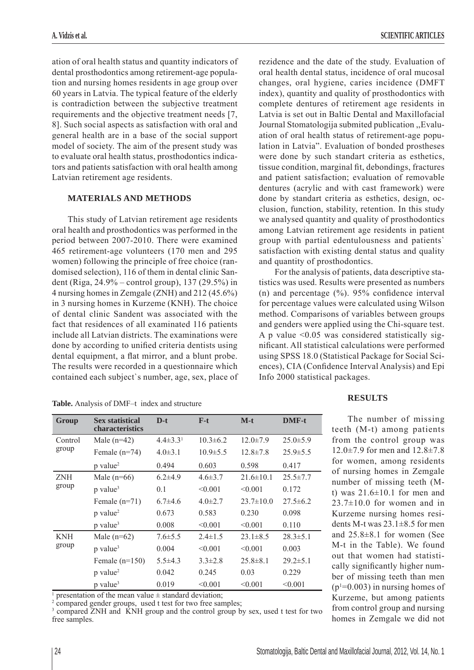ation of oral health status and quantity indicators of dental prosthodontics among retirement-age population and nursing homes residents in age group over 60 years in Latvia. The typical feature of the elderly is contradiction between the subjective treatment requirements and the objective treatment needs [7, 8]. Such social aspects as satisfaction with oral and general health are in a base of the social support model of society. The aim of the present study was to evaluate oral health status, prosthodontics indicators and patients satisfaction with oral health among Latvian retirement age residents.

# **MATERIALS AND METHODS**

This study of Latvian retirement age residents oral health and prosthodontics was performed in the period between 2007-2010. There were examined 465 retirement-age volunteers (170 men and 295 women) following the principle of free choice (randomised selection), 116 of them in dental clinic Sandent (Riga, 24.9% – control group), 137 (29.5%) in 4 nursing homes in Zemgale (ZNH) and 212 (45.6%) in 3 nursing homes in Kurzeme (KNH). The choice of dental clinic Sandent was associated with the fact that residences of all examinated 116 patients include all Latvian districts. The examinations were done by according to unified criteria dentists using dental equipment, a flat mirror, and a blunt probe. The results were recorded in a questionnaire which contained each subject`s number, age, sex, place of

| Group               | <b>Sex statistical</b><br><b>characteristics</b> | $D-t$                    | $F-t$          | $M-t$           | <b>DMF-t</b>   |
|---------------------|--------------------------------------------------|--------------------------|----------------|-----------------|----------------|
| Control<br>group    | Male $(n=42)$                                    | $4.4\pm3.3$ <sup>1</sup> | $10.3 \pm 6.2$ | $12.0 \pm 7.9$  | $25.0 \pm 5.9$ |
|                     | Female $(n=74)$                                  | $4.0\pm3.1$              | $10.9 \pm 5.5$ | $12.8 \pm 7.8$  | $25.9 \pm 5.5$ |
|                     | $p$ value <sup>2</sup>                           | 0.494                    | 0.603          | 0.598           | 0.417          |
| <b>ZNH</b><br>group | Male $(n=66)$                                    | $6.2{\pm}4.9$            | $4.6 \pm 3.7$  | $21.6 \pm 10.1$ | $25.5 \pm 7.7$ |
|                     | p value <sup>3</sup>                             | 0.1                      | < 0.001        | < 0.001         | 0.172          |
|                     | Female $(n=71)$                                  | $6.7\pm4.6$              | $4.0\pm2.7$    | $23.7 \pm 10.0$ | $27.5 \pm 6.2$ |
|                     | p value <sup>2</sup>                             | 0.673                    | 0.583          | 0.230           | 0.098          |
|                     | p value <sup>3</sup>                             | 0.008                    | < 0.001        | < 0.001         | 0.110          |
| <b>KNH</b><br>group | Male $(n=62)$                                    | $7.6 \pm 5.5$            | $2.4 \pm 1.5$  | $23.1 \pm 8.5$  | $28.3 \pm 5.1$ |
|                     | p value <sup>3</sup>                             | 0.004                    | < 0.001        | < 0.001         | 0.003          |
|                     | Female $(n=150)$                                 | $5.5\pm4.3$              | $3.3 \pm 2.8$  | $25.8 \pm 8.1$  | $29.2 \pm 5.1$ |
|                     | p value <sup>2</sup>                             | 0.042                    | 0.245          | 0.03            | 0.229          |
|                     | $p$ value <sup>3</sup>                           | 0.019                    | < 0.001        | < 0.001         | < 0.001        |

1 presentation of the mean value  $\pm$  standard deviation;

2 compared gender groups, used t test for two free samples;

3 compared ZNH and KNH group and the control group by sex, used t test for two free samples.

rezidence and the date of the study. Evaluation of oral health dental status, incidence of oral mucosal changes, oral hygiene, caries incidence (DMFT index), quantity and quality of prosthodontics with complete dentures of retirement age residents in Latvia is set out in Baltic Dental and Maxillofacial Journal Stomatologija submited publication ,,Evaluation of oral health status of retirement-age population in Latvia". Evaluation of bonded prostheses were done by such standart criteria as esthetics, tissue condition, marginal fit, debondings, fractures and patient satisfaction; evaluation of removable dentures (acrylic and with cast framework) were done by standart criteria as esthetics, design, occlusion, function, stability, retention. In this study we analysed quantity and quality of prosthodontics among Latvian retirement age residents in patient group with partial edentulousness and patients` satisfaction with existing dental status and quality and quantity of prosthodontics.

For the analysis of patients, data descriptive statistics was used. Results were presented as numbers (n) and percentage  $(\%)$ . 95% confidence interval for percentage values were calculated using Wilson method. Comparisons of variables between groups and genders were applied using the Chi-square test. A p value <0.05 was considered statistically significant. All statistical calculations were performed using SPSS 18.0 (Statistical Package for Social Sciences), CIA (Confidence Interval Analysis) and Epi Info 2000 statistical packages.

#### **RESULTS**

The number of missing teeth (M-t) among patients from the control group was 12.0±7.9 for men and 12.8±7.8 for women, among residents of nursing homes in Zemgale number of missing teeth (Mt) was  $21.6 \pm 10.1$  for men and  $23.7\pm10.0$  for women and in Kurzeme nursing homes residents M-t was  $23.1\pm8.5$  for men and 25.8±8.1 for women (See M-t in the Table). We found out that women had statistically significantly higher number of missing teeth than men  $(p<sup>1</sup>=0.003)$  in nursing homes of Kurzeme, but among patients from control group and nursing homes in Zemgale we did not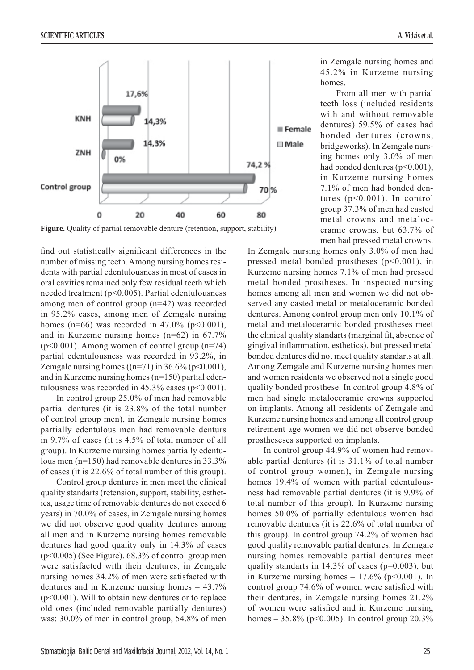

**Figure.** Quality of partial removable denture (retention, support, stability)

find out statistically significant differences in the number of missing teeth. Among nursing homes residents with partial edentulousness in most of cases in oral cavities remained only few residual teeth which needed treatment (p<0.005). Partial edentulousness among men of control group (n=42) was recorded in 95.2% cases, among men of Zemgale nursing homes (n=66) was recorded in 47.0% (p<0.001), and in Kurzeme nursing homes (n=62) in 67.7%  $(p<0.001)$ . Among women of control group  $(n=74)$ partial edentulousness was recorded in 93.2%, in Zemgale nursing homes  $((n=71)$  in 36.6% (p<0.001), and in Kurzeme nursing homes (n=150) partial edentulousness was recorded in  $45.3\%$  cases (p<0.001).

In control group 25.0% of men had removable partial dentures (it is 23.8% of the total number of control group men), in Zemgale nursing homes partially edentulous men had removable denturs in 9.7% of cases (it is 4.5% of total number of all group). In Kurzeme nursing homes partially edentulous men (n=150) had removable dentures in 33.3% of cases (it is 22.6% of total number of this group).

Control group dentures in men meet the clinical quality standarts (retension, support, stability, esthetics, usage time of removable dentures do not exceed 6 years) in 70.0% of cases, in Zemgale nursing homes we did not observe good quality dentures among all men and in Kurzeme nursing homes removable dentures had good quality only in 14.3% of cases (p<0.005) (See Figure). 68.3% of control group men were satisfacted with their dentures, in Zemgale nursing homes 34.2% of men were satisfacted with dentures and in Kurzeme nursing homes – 43.7% (p<0.001). Will to obtain new dentures or to replace old ones (included removable partially dentures) was: 30.0% of men in control group, 54.8% of men in Zemgale nursing homes and 45.2% in Kurzeme nursing homes.

From all men with partial teeth loss (included residents with and without removable dentures) 59.5% of cases had bonded dentures (crowns, bridgeworks). In Zemgale nursing homes only 3.0% of men had bonded dentures (p<0.001), in Kurzeme nursing homes 7.1% of men had bonded dentures (p<0.001). In control group 37.3% of men had casted metal crowns and metaloceramic crowns, but 63.7% of men had pressed metal crowns.

In Zemgale nursing homes only 3.0% of men had pressed metal bonded prostheses (p<0.001), in Kurzeme nursing homes 7.1% of men had pressed metal bonded prostheses. In inspected nursing homes among all men and women we did not observed any casted metal or metaloceramic bonded dentures. Among control group men only 10.1% of metal and metaloceramic bonded prostheses meet the clinical quality standarts (marginal fit, absence of gingival inflammation, esthetics), but pressed metal bonded dentures did not meet quality standarts at all. Among Zemgale and Kurzeme nursing homes men and women residents we observed not a single good quality bonded prosthese. In control group 4.8% of men had single metaloceramic crowns supported on implants. Among all residents of Zemgale and Kurzeme nursing homes and among all control group retirement age women we did not observe bonded prostheseses supported on implants.

In control group 44.9% of women had removable partial dentures (it is 31.1% of total number of control group women), in Zemgale nursing homes 19.4% of women with partial edentulousness had removable partial dentures (it is 9.9% of total number of this group). In Kurzeme nursing homes 50.0% of partially edentulous women had removable dentures (it is 22.6% of total number of this group). In control group 74.2% of women had good quality removable partial dentures. In Zemgale nursing homes removable partial dentures meet quality standarts in  $14.3\%$  of cases ( $p=0.003$ ), but in Kurzeme nursing homes  $-17.6\%$  (p<0.001). In control group 74.6% of women were satisfied with their dentures, in Zemgale nursing homes 21.2% of women were satisfied and in Kurzeme nursing homes – 35.8% ( $p$ <0.005). In control group 20.3%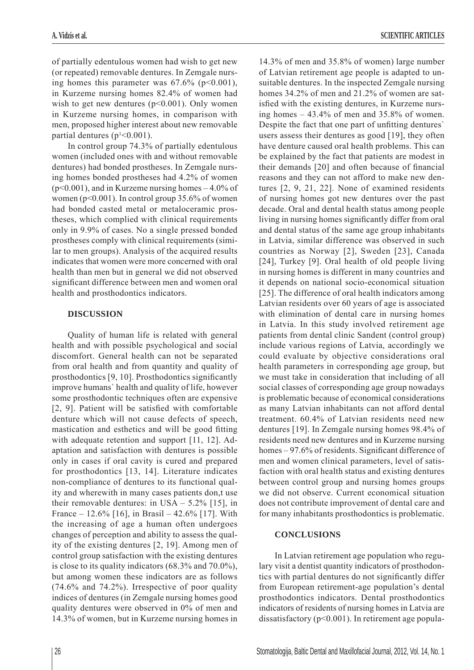of partially edentulous women had wish to get new (or repeated) removable dentures. In Zemgale nursing homes this parameter was  $67.6\%$  (p<0.001), in Kurzeme nursing homes 82.4% of women had wish to get new dentures  $(p<0.001)$ . Only women in Kurzeme nursing homes, in comparison with men, proposed higher interest about new removable partial dentures  $(p<sup>1</sup> < 0.001)$ .

In control group 74.3% of partially edentulous women (included ones with and without removable dentures) had bonded prostheses. In Zemgale nursing homes bonded prostheses had 4.2% of women (p<0.001), and in Kurzeme nursing homes – 4.0% of women (p<0.001). In control group 35.6% of women had bonded casted metal or metaloceramic prostheses, which complied with clinical requirements only in 9.9% of cases. No a single pressed bonded prostheses comply with clinical requirements (similar to men groups). Analysis of the acquired results indicates that women were more concerned with oral health than men but in general we did not observed significant difference between men and women oral health and prosthodontics indicators.

# **DISCUSSION**

Quality of human life is related with general health and with possible psychological and social discomfort. General health can not be separated from oral health and from quantity and quality of prosthodontics  $[9, 10]$ . Prosthodontics significantly improve humans` health and quality of life, however some prosthodontic techniques often are expensive  $[2, 9]$ . Patient will be satisfied with comfortable denture which will not cause defects of speech, mastication and esthetics and will be good fitting with adequate retention and support [11, 12]. Adaptation and satisfaction with dentures is possible only in cases if oral cavity is cured and prepared for prosthodontics [13, 14]. Literature indicates non-compliance of dentures to its functional quality and wherewith in many cases patients don,t use their removable dentures: in USA  $-$  5.2% [15], in France – 12.6% [16], in Brasil – 42.6% [17]. With the increasing of age a human often undergoes changes of perception and ability to assess the quality of the existing dentures [2, 19]. Among men of control group satisfaction with the existing dentures is close to its quality indicators (68.3% and 70.0%), but among women these indicators are as follows (74.6% and 74.2%). Irrespective of poor quality indices of dentures (in Zemgale nursing homes good quality dentures were observed in 0% of men and 14.3% of women, but in Kurzeme nursing homes in

14.3% of men and 35.8% of women) large number of Latvian retirement age people is adapted to unsuitable dentures. In the inspected Zemgale nursing homes 34.2% of men and 21.2% of women are satisfied with the existing dentures, in Kurzeme nursing homes – 43.4% of men and 35.8% of women. Despite the fact that one part of unfitting dentures users assess their dentures as good [19], they often have denture caused oral health problems. This can be explained by the fact that patients are modest in their demands  $[20]$  and often because of financial reasons and they can not afford to make new dentures [2, 9, 21, 22]. None of examined residents of nursing homes got new dentures over the past decade. Oral and dental health status among people living in nursing homes significantly differ from oral and dental status of the same age group inhabitants in Latvia, similar difference was observed in such countries as Norway [2], Sweden [23], Canada [24], Turkey [9]. Oral health of old people living in nursing homes is different in many countries and it depends on national socio-economical situation [25]. The difference of oral health indicators among Latvian residents over 60 years of age is associated with elimination of dental care in nursing homes in Latvia. In this study involved retirement age patients from dental clinic Sandent (control group) include various regions of Latvia, accordingly we could evaluate by objective considerations oral health parameters in corresponding age group, but we must take in consideration that including of all social classes of corresponding age group nowadays is problematic because of economical considerations as many Latvian inhabitants can not afford dental treatment. 60.4% of Latvian residents need new dentures [19]. In Zemgale nursing homes 98.4% of residents need new dentures and in Kurzeme nursing homes  $-97.6\%$  of residents. Significant difference of men and women clinical parameters, level of satisfaction with oral health status and existing dentures between control group and nursing homes groups we did not observe. Current economical situation does not contribute improvement of dental care and for many inhabitants prosthodontics is problematic.

# **CONCLUSIONS**

In Latvian retirement age population who regulary visit a dentist quantity indicators of prosthodontics with partial dentures do not significantly differ from European retirement-age population's dental prosthodontics indicators. Dental prosthodontics indicators of residents of nursing homes in Latvia are dissatisfactory (p<0.001). In retirement age popula-